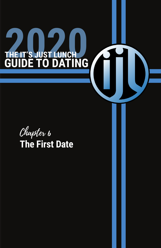## black, gray, navy, white, beige, or brown. Integrate a "pop of color" with a few pieces in your wardrobe to enhance the neutrals. Make sure you pair the right shoes for the "date occasion"—dress o Just Lunun shoes work for a dinner **and an and political and political and political and political and political and political and political and political and political and political and political and political and political and political and political and** shoes can reveal a lot about your personality and self care **GUIDE TO DATING**

Keep your colors to a minimum and work mostly with neutrals:

Be sure to keep accessories to a minimum, a great watch is the only piece of jewelry a man really needs. Invest in a high quality watch and wallet. Less is more when accessorizing your look is more when accessorizing your look is more when  $\mathcal{L}_\mathbf{z}$ 

Make sure you are properly groomed: clean/styled hair; clean shaven or well groomed facial hair; clean manicured nails;

shaped brows; clean ears and nose hair trimmed if necessary. Be  $\mathbf{z}_{\text{ref}}$ Dental hygiene is critical---Nothing builds confidence like taking Chapter 6 **The First Date Also, beginning** your breath is fresh and desirable. Women love a great smile!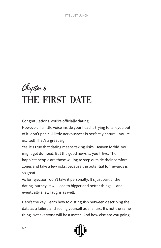# Chapter 6 THE FIRST DATE

Congratulations, you're officially dating!

However, if a little voice inside your head is trying to talk you out of it, don't panic. A little nervousness is perfectly natural--you're excited! That's a great sign.

Yes, it's true that dating means taking risks. Heaven forbid, you might get dumped. But the good news is, you'll live. The happiest people are those willing to step outside their comfort zones and take a few risks, because the potential for rewards is so great.

As for rejection, don't take it personally. It's just part of the dating journey. It will lead to bigger and better things — and eventually a few laughs as well.

Here's the key: Learn how to distinguish between describing the date as a failure and seeing yourself as a failure. It's not the same thing. Not everyone will be a match. And how else are you going

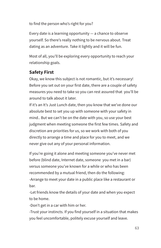to find the person who's right for you?

Every date is a learning opportunity  $-$  a chance to observe yourself. So there's really nothing to be nervous about. Treat dating as an adventure. Take it lightly and it will be fun.

Most of all, you'll be exploring every opportunity to reach your relationship goals.

## **Safety First**

Okay, we know this subject is not romantic, but it's necessary! Before you set out on your first date, there are a couple of safety measures you need to take so you can rest assured that you'll be around to talk about it later.

If it's an It's Just Lunch date, then you know that we've done our absolute best to set you up with someone with your safety in mind.. But we can't be on the date with you, so use your best judgment when meeting someone the first few times. Safety and discretion are priorities for us, so we work with both of you directly to arrange a time and place for you to meet, and we never give out any of your personal information.

If you're going it alone and meeting someone you've never met before (blind date, Internet date, someone you met in a bar) versus someone you've known for a while or who has been recommended by a mutual friend, then do the following: -Arrange to meet your date in a public place like a restaurant or bar.

-Let friends know the details of your date and when you expect to be home.

-Don't get in a car with him or her.

-Trust your instincts. If you find yourself in a situation that makes you feel uncomfortable, politely excuse yourself and leave.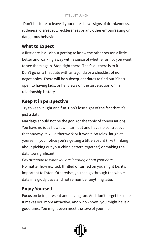-Don't hesitate to leave if your date shows signs of drunkenness, rudeness, disrespect, recklessness or any other embarrassing or dangerous behavior.

## **What to Expect**

A first date is all about getting to know the other person a little better and walking away with a sense of whether or not you want to see them again. Stop right there! That's all there is to it. Don't go on a first date with an agenda or a checklist of nonnegotiables. There will be subsequent dates to find out if he's open to having kids, or her views on the last election or his relationship history.

# **Keep It in perspective**

Try to keep it light and fun. Don't lose sight of the fact that it's just a date!

Marriage should not be the goal (or the topic of conversation). You have no idea how it will turn out and have no control over that anyway. It will either work or it won't. So relax, laugh at yourself if you notice you're getting a little absurd (like thinking about picking out your china pattern together) or making the date too significant.

*Pay attention to what you are learning about your date.* No matter how excited, thrilled or turned on you might be, it's important to listen. Otherwise, you can go through the whole date in a giddy daze and not remember anything later.

# **Enjoy Yourself**

Focus on being present and having fun. And don't forget to smile. It makes you more attractive. And who knows, you might have a good time. You might even meet the love of your life!

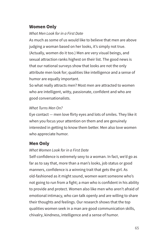## **Women Only**

#### *What Men Look for in a First Date*

As much as some of us would like to believe that men are above judging a woman based on her looks, it's simply not true. (Actually, women do it too.) Men are very visual beings, and sexual attraction ranks highest on their list. The good news is that our national surveys show that looks are not the only attribute men look for; qualities like intelligence and a sense of humor are equally important.

So what really attracts men? Most men are attracted to women who are intelligent, witty, passionate, confident and who are good conversationalists.

### *What Turns Men On?*

Eye contact — men love flirty eyes and lots of smiles. They like it when you focus your attention on them and are genuinely interested in getting to know them better. Men also love women who appreciate humor.

## **Men Only**

## *What Women Look for in a First Date*

Self-confidence is extremely sexy to a woman. In fact, we'd go as far as to say that, more than a man's looks, job status or good manners, confidence is a winning trait that gets the girl. As old-fashioned as it might sound, women want someone who's not going to run from a fight; a man who is confident in his ability to provide and protect. Women also like men who aren't afraid of emotional intimacy, who can talk openly and are willing to share their thoughts and feelings. Our research shows that the top qualities women seek in a man are good communication skills, chivalry, kindness, intelligence and a sense of humor.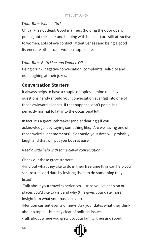#### *What Turns Women On?*

Chivalry is not dead. Good manners (holding the door open, pulling out the chair and helping with her coat) are still attractive to women. Lots of eye contact, attentiveness and being a good listener are other traits women appreciate.

### *What Turns Both Men and Women Off*

Being drunk, negative conversation, complaints, self-pity and not laughing at their jokes.

## **Conversation Starters**

It always helps to have a couple of topics in mind or a few questions handy should your conversation ever fall into one of those awkward silences. If that happens, don't panic. It's perfectly normal to fall into the occasional lull.

In fact, it's a great icebreaker (and endearing!) if you acknowledge it by saying something like, "Are we having one of those weird silent moments?" Seriously, your date will probably laugh and that will put you both at ease.

#### *Need a little help with some clever conversation?*

Check out these great starters:

-Find out what they like to do in their free time (this can help you secure a second date by inviting them to do something they listed)

-Talk about your travel experiences — trips you've been on or places you'd like to visit and why (this gives your date more insight into what your passions are).

-Mention current events or news. Ask your dates what they think about a topic… but stay clear of political issues.

-Talk about where you grew up, your family, then ask about

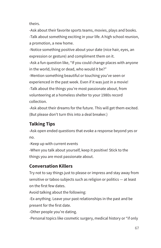theirs.

-Ask about their favorite sports teams, movies, plays and books. -Talk about something exciting in your life. A high school reunion, a promotion, a new home.

-Notice something positive about your date (nice hair, eyes, an expression or gesture) and compliment them on it.

-Ask a fun question like, "If you could change places with anyone in the world, living or dead, who would it be?"

-Mention something beautiful or touching you've seen or experienced in the past week. Even if it was just in a movie! -Talk about the things you're most passionate about, from volunteering at a homeless shelter to your 1980s record collection.

-Ask about their dreams for the future. This will get them excited. (But please don't turn this into a deal breaker.)

# **Talking Tips**

-Ask open ended questions that evoke a response beyond yes or no.

-Keep up with current events

-When you talk about yourself, keep it positive! Stick to the things you are most passionate about.

# **Conversation Killers**

Try not to say things just to please or impress and stay away from sensitive or taboo subjects such as religion or politics — at least on the first few dates.

Avoid talking about the following:

-Ex-anything. Leave your past relationships in the past and be present for the first date.

-Other people you're dating.

-Personal topics like cosmetic surgery, medical history or "if only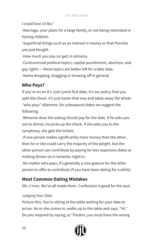I could lose 10 lbs."

-Marriage, your plans for a large family, or not being interested in having children.

-Superficial things such as an interest in money or that Porsche you just bought.

-How much you pay (or get) in alimony.

-Controversial political topics: capital punishment, abortion, and gay rights — these topics are better left for a later date.

-Name dropping, bragging or showing off in general.

# **Who Pays?**

If you're on an It's Just Lunch first date, it's our policy that you split the check. It's just easier that way and takes away the whole "who pays" dilemma. On subsequent dates we suggest the following:

-Whoever does the asking should pay for the date. If he asks you out to dinner, he picks up the check. If she asks you to the symphony, she gets the tickets.

-If one person makes significantly more money than the other, then he or she could carry the majority of the weight, but the other person can contribute by paying for less expensive dates or making dinner on a romantic night in.

-No matter who pays, it's generally a nice gesture for the other person to offer to contribute (if you have been dating for a while).

# **Most Common Dating Mistakes**

Oh, c'mon. We've all made them. Confession is good for the soul.

## *Judging Your Date*

Picture this. You're sitting at the table waiting for your date to arrive. He or she comes in, walks up to the table and says, "Hi." Do you respond by saying, a) "Pardon, you must have the wrong

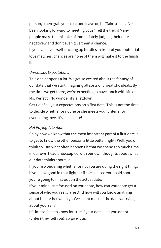person," then grab your coat and leave or, b) "Take a seat, I've been looking forward to meeting you?" Tell the truth! Many people make the mistake of immediately judging their dates negatively and don't even give them a chance.

If you catch yourself stacking up hurdles in front of your potential love matches, chances are none of them will make it to the finish line.

#### *Unrealistic Expectations*

This one happens a lot. We get so excited about the fantasy of our date that we start imagining all sorts of unrealistic ideals. By the time we get there, we're expecting to have lunch with Mr. or Ms. Perfect. No wonder it's a letdown!

Get rid of all your expectations on a first date. This is not the time to decide whether or not he or she meets your criteria for everlasting love. It's just a date!

#### *Not Paying Attention*

So by now we know that the most important part of a first date is to get to know the other person a little better, right? Well, you'd think so. But what often happens is that we spend too much time in our own head preoccupied with our own thoughts about what our date thinks about us.

If you're wondering whether or not you are doing the right thing, if you look good in that light, or if she can see your bald spot, you're going to miss out on the actual date.

If your mind isn't focused on your date, how can your date get a sense of who you really are? And how will you know anything about him or her when you've spent most of the date worrying about yourself?

It's impossible to know for sure if your date likes you or not (unless they tell you), so give it up!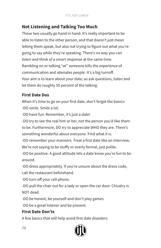# **Not Listening and Talking Too Much**

These two usually go hand in hand. It's really important to be able to listen to the other person, and that doesn't just mean letting them speak, but also not trying to figure out what you're going to say while they're speaking. There's no way you can listen and think of a smart response at the same time. Rambling on or talking "at" someone kills the experience of communication and alienates people. It's a big turnoff. Your aim is to learn about your date; so ask questions, listen and let them do roughly 50 percent of the talking.

## **First Date Dos**

When it's time to go on your first date, don't forget the basics: -DO smile. Smile a lot.

-DO have fun. Remember, it's just a date!

-DO try to see the real him or her, not the person you'd like them to be. Furthermore, DO try to appreciate WHO they are. There's something wonderful about everyone. Find what it is.

-DO remember your manners. Treat a first date like an interview. We're not saying to be stuffy or overly formal, just polite.

-DO be positive. A good attitude lets a date know you're fun to be around.

-DO dress appropriately. If you're unsure about the dress code, call the restaurant beforehand.

-DO turn off your cell phone.

-DO pull the chair out for a lady or open the car door. Chivalry is NOT dead.

-DO be honest, be yourself and don't play games.

-DO be a great listener and be present.

## **First Date Don'ts**

A few basics that will help avoid first date disasters:

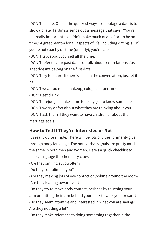-DON'T be late. One of the quickest ways to sabotage a date is to show up late. Tardiness sends out a message that says, "You're not really important so I didn't make much of an effort to be on time." A great mantra for all aspects of life, including dating is…if you're not exactly on time (or early), you're late.

-DON'T talk about yourself all the time.

-DON'T refer to your past dates or talk about past relationships. That doesn't belong on the first date.

-DON'T try too hard. If there's a lull in the conversation, just let it be.

-DON'T wear too much makeup, cologne or perfume.

-DON'T get drunk!

-DON'T prejudge. It takes time to really get to know someone. -DON'T worry or fret about what they are thinking about you. -DON'T ask them if they want to have children or about their marriage goals.

# **How to Tell If They're Interested or Not**

It's really quite simple. There will be lots of clues, primarily given through body language. The non-verbal signals are pretty much the same in both men and women. Here's a quick checklist to help you gauge the chemistry clues:

-Are they smiling at you often?

-Do they compliment you?

-Are they making lots of eye contact or looking around the room? -Are they leaning toward you?

-Do they try to make body contact, perhaps by touching your arm or putting their arm behind your back to walk you forward? -Do they seem attentive and interested in what you are saying? Are they nodding a lot?

-Do they make reference to doing something together in the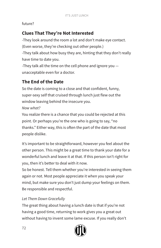## future?

# **Clues That They're Not Interested**

-They look around the room a lot and don't make eye contact. (Even worse, they're checking out other people.)

-They talk about how busy they are, hinting that they don't really have time to date you.

-They talk all the time on the cell phone and ignore you unacceptable even for a doctor.

# **The End of the Date**

So the date is coming to a close and that confident, funny, super-sexy self that cruised through lunch just flew out the window leaving behind the insecure you.

*Now what?*

You realize there is a chance that you could be rejected at this point. Or perhaps you're the one who is going to say, "no thanks." Either way, this is often the part of the date that most people dislike.

It's important to be straightforward, however you feel about the other person. This might be a great time to thank your date for a wonderful lunch and leave it at that. If this person isn't right for you, then it's better to deal with it now.

So be honest. Tell them whether you're interested in seeing them again or not. Most people appreciate it when you speak your mind, but make sure you don't just dump your feelings on them. Be responsible and respectful.

## *Let Them Down Gracefully*

The great thing about having a lunch date is that if you're not having a good time, returning to work gives you a great out without having to invent some lame excuse. If you really don't

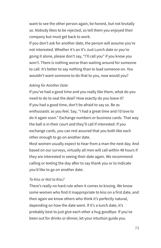want to see the other person again, be honest, but not brutally so. Nobody likes to be rejected, so tell them you enjoyed their company but must get back to work.

If you don't ask for another date, the person will assume you're not interested. Whether it's an It's Just Lunch date or you're going it alone, please don't say, "I'll call you" if you know you won't. There is nothing worse than waiting around for someone to call. It's better to say nothing than to lead someone on. You wouldn't want someone to do that to you, now would you?

#### *Asking for Another Date*

If you've had a good time and you really like them, what do you need to do to seal the deal? How exactly do you leave it? If you had a good time, don't be afraid to say so. Be as enthusiastic as you feel. Say, "I had a great time and I'd love to do it again soon." Exchange numbers or business cards. That way the ball is in their court and they'll call if interested. If you exchange cards, you can rest assured that you both like each other enough to go on another date.

Most women usually expect to hear from a man the next day. And based on our surveys, virtually all men will call within 48 hours if they are interested in seeing their date again. We recommend calling or texting the day after to say thank you or to indicate you'd like to go on another date.

#### *To Kiss or Not to Kiss?*

There's really no hard rule when it comes to kissing. We know some women who find it inappropriate to kiss on a first date, and then again we know others who think it's perfectly natural, depending on how the date went. If it's a lunch date, it's probably best to just give each other a hug goodbye. If you've been out for drinks or dinner, let your intuition guide you.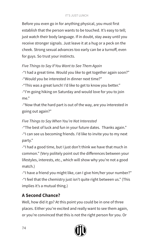#### IT'S JUST LUNCH

Before you even go in for anything physical, you must first establish that the person wants to be touched. It's easy to tell; just watch their body language. If in doubt, stay away until you receive stronger signals. Just leave it at a hug or a peck on the cheek. Strong sexual advances too early can be a turnoff, even for guys. So trust your instincts.

## *Five Things to Say If You Want to See Them Again*

-"I had a great time. Would you like to get together again soon?" -"Would you be interested in dinner next time?"

-"This was a great lunch! I'd like to get to know you better."

-"I'm going hiking on Saturday and would love for you to join me."

-"Now that the hard part is out of the way, are you interested in going out again?"

## *Five Things to Say When You're Not Interested*

-"The best of luck and fun in your future dates. Thanks again." -"I can see us becoming friends. I'd like to invite you to my next party."

-"I had a good time, but I just don't think we have that much in common." (Very politely point out the differences between your lifestyles, interests, etc., which will show why you're not a good match.)

-"I have a friend you might like, can I give him/her your number?" -"I feel that the chemistry just isn't quite right between us." (This implies it's a mutual thing.)

## **A Second Chance?**

Well, how did it go? At this point you could be in one of three places. Either you're excited and really want to see them again, or you're convinced that this is not the right person for you. Or